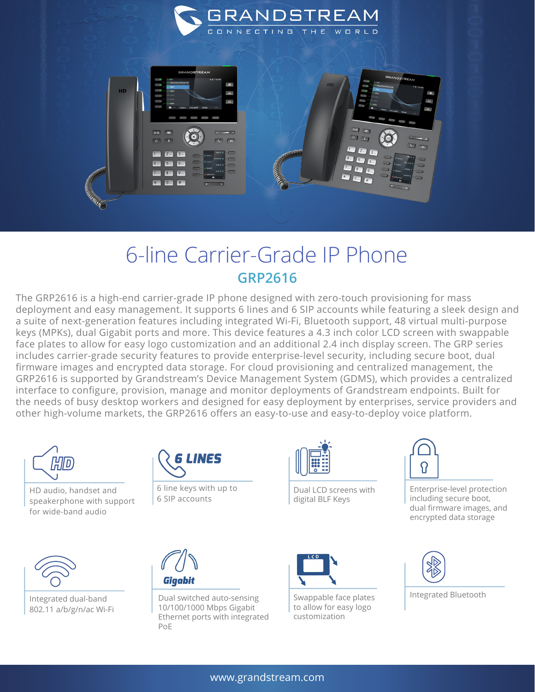

## 6-line Carrier-Grade IP Phone **GRP2616**

The GRP2616 is a high-end carrier-grade IP phone designed with zero-touch provisioning for mass deployment and easy management. It supports 6 lines and 6 SIP accounts while featuring a sleek design and a suite of next-generation features including integrated Wi-Fi, Bluetooth support, 48 virtual multi-purpose keys (MPKs), dual Gigabit ports and more. This device features a 4.3 inch color LCD screen with swappable face plates to allow for easy logo customization and an additional 2.4 inch display screen. The GRP series includes carrier-grade security features to provide enterprise-level security, including secure boot, dual firmware images and encrypted data storage. For cloud provisioning and centralized management, the GRP2616 is supported by Grandstream's Device Management System (GDMS), which provides a centralized interface to configure, provision, manage and monitor deployments of Grandstream endpoints. Built for the needs of busy desktop workers and designed for easy deployment by enterprises, service providers and other high-volume markets, the GRP2616 offers an easy-to-use and easy-to-deploy voice platform.



HD audio, handset and speakerphone with support for wide-band audio



Integrated dual-band 802.11 a/b/g/n/ac Wi-Fi



6 line keys with up to 6 SIP accounts

Dual switched auto-sensing 10/100/1000 Mbps Gigabit Ethernet ports with integrated

PoE

Giqabit



Dual LCD screens with digital BLF Keys



Swappable face plates to allow for easy logo customization



Enterprise-level protection including secure boot, dual firmware images, and encrypted data storage



Integrated Bluetooth